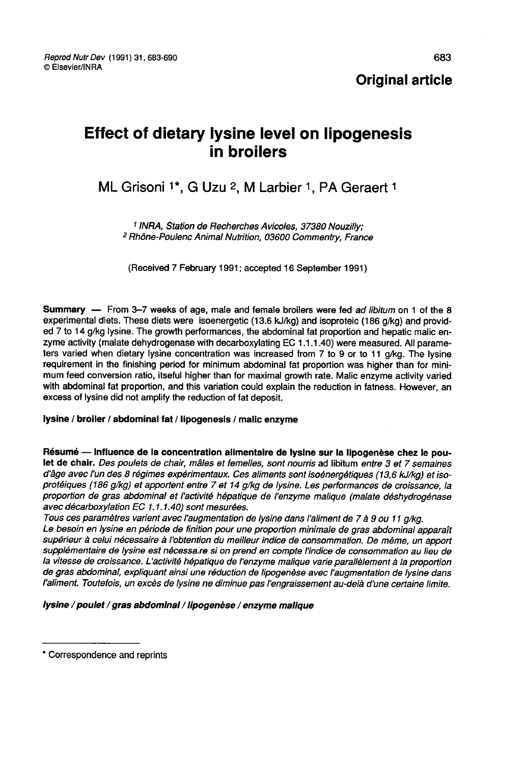Reprod Nutr Dev (1991) 31, 683-690 © Elsevier/INRA

# Effect of dietary lysine level on lipogenesis in broilers

# ML Grisoni <sup>1\*</sup>, G Uzu <sup>2</sup>, M Larbier <sup>1</sup>, PA Geraert <sup>1</sup>

<sup>1</sup> INRA, Station de Recherches Avicoles, 37380 Nouzilly; <sup>2</sup> Rhône-Poulenc Animal Nutrition, 03600 Commentry, France

(Received 7 February 1991; accepted 16 September 1991)

Summary — From 3-7 weeks of age, male and female broilers were fed ad libitum on 1 of the 8 experimental diets. These diets were isoenergetic (13.6 kJ/kg) and isoproteic (186 g/kg) and provided 7 to 14 g/kg lysine. The growth performances, the abdominal fat proportion and hepatic malic en-<br>zyme activity (malate dehydrogenase with decarboxylating EC 1.1.1.40) were measured. All parameters varied when dietary lysine concentration was increased from 7 to 9 or to 11 g/kg. The lysine requirement in the finishing period for minimum abdominal fat proportion was higher than for minimum feed conversion ratio, itseful higher than for maximal growth rate. Malic enzyme activity varied with abdominal fat proportion, and this variation could explain the reduction in fatness. However, an excess of lysine did not amplify the reduction of fat deposit.

#### lysine / broiler / abdominal fat / lipogenesis / malic enzyme

Résumé ― Influence de la concentration alimentaire de lysine sur la lipogenèse chez le poulet de chair. Des poulets de chair, mâles et femelles, sont nourris ad libitum entre 3 et 7 semaines d'âge avec l'un des 8 régimes expérimentaux. Ces aliments sont isoénergétiques (13,6 kjlkg) et isoprotéiques (186 glkg) et apportent entre 7 et 14 g/kg de lysine. Les performances de croissance, la proportion de gras abdominal et l'activité hépatique de l'enzyme malique (malate déshydrogénase<br>avec décarboxylation EC 1.1.1.40) sont mesurées.

Tous ces paramètres varient avec l'augmentation de lysine dans l'aliment de 7 à 9 ou 11 g/kg.<br>Le besoin en lysine en période de finition pour une proportion minimale de gras abdominal apparaît supérieur à celui nécessaire à l'obtention du meilleur indice de consommation. De même, un apport<br>supplémentaire de lysine est nécessaire si on prend en compte l'indice de consommation au lieu de la vitesse de croissance. L'activité hépatique de l'enzyme malique varie parallèlement à la proportion de gras abdominal, expliquant ainsi une réduction de lipogenèse avec l'augmentation de lysine dans l'aliment. Toutefois, un excès de lysine ne diminue pas l'engraissement au-delà d'une certaine limite.

lysine / poulet / gras abdominal / lipogenèse / enzyme malique

<sup>\*</sup> Correspondence and reprints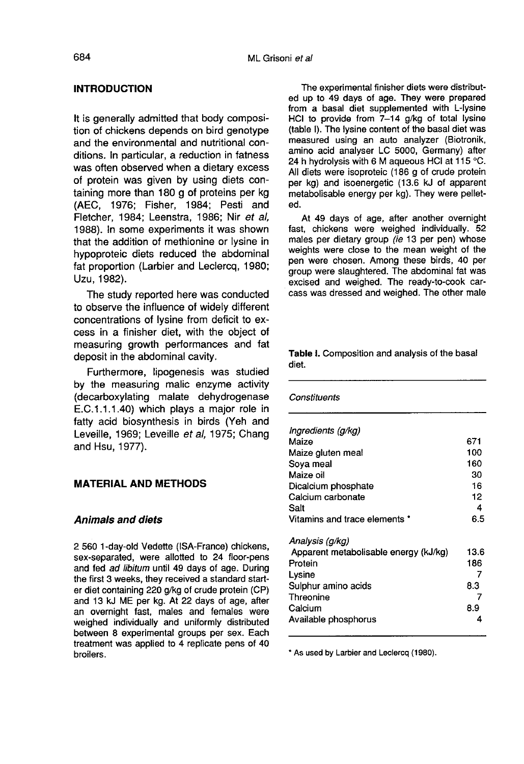# INTRODUCTION

It is generally admitted that body composition of chickens depends on bird genotype and the environmental and nutritional conditions. In particular, a reduction in fatness was often observed when a dietary excess of protein was given by using diets containing more than 180 g of proteins per kg (AEC, 1976; Fisher, 1984; Pesti and Fletcher, 1984; Leenstra, 1986; Nir et al, 1988). In some experiments it was shown that the addition of methionine or lysine in hypoproteic diets reduced the abdominal fat proportion (Larbier and Leclercq, 1980; Uzu, 1982).

The study reported here was conducted to observe the influence of widely different concentrations of lysine from deficit to excess in a finisher diet, with the object of measuring growth performances and fat deposit in the abdominal cavity.

Furthermore, lipogenesis was studied by the measuring malic enzyme activity (decarboxylating malate dehydrogenase E.C.1.1.1.40) which plays a major role in fatty acid biosynthesis in birds (Yeh and Leveille, 1969; Leveille et al, 1975; Chang and Hsu, 1977).

# MATERIAL AND METHODS

# Animals and diets

2 560 1-day-old Vedette (ISA-France) chickens, sex-separated, were allotted to 24 floor-pens and fed ad libitum until 49 days of age. During the first 3 weeks, they received a standard starter diet containing 220 g/kg of crude protein (CP) and 13 kJ ME per kg. At 22 days of age, after an overnight fast, males and females were weighed individually and uniformly distributed between 8 experimental groups per sex. Each treatment was applied to 4 replicate pens of 40 broilers.

The experimental finisher diets were distributed up to 49 days of age. They were prepared from a basal diet supplemented with L-lysine HCI to provide from 7-14 g/kg of total lysine (table I). The lysine content of the basal diet was measured using an auto analyzer (Biotronik, amino acid analyser LC 5000, Germany) after 24 h hydrolysis with 6 M aqueous HCI at 115 °C. All diets were isoproteic (186 g of crude protein per kg) and isoenergetic (13.6 kJ of apparent metabolisable energy per kg). They were pelleted.

At 49 days of age, after another overnight fast, chickens were weighed individually. 52 males per dietary group (ie 13 per pen) whose weights were close to the mean weight of the pen were chosen. Among these birds, 40 per group were slaughtered. The abdominal fat was excised and weighed. The ready-to-cook carcass was dressed and weighed. The other male

#### Table I. Composition and analysis of the basal diet.

Constituents

| Ingredients (g/kg)                    |      |
|---------------------------------------|------|
| Maize                                 | 671  |
| Maize gluten meal                     | 100  |
| Soya meal                             | 160  |
| Maize oil                             | 30   |
| Dicalcium phosphate                   | 16   |
| Calcium carbonate                     | 12   |
| Salt                                  | 4    |
| Vitamins and trace elements *         | 6.5  |
| Analysis (q/kg)                       |      |
| Apparent metabolisable energy (kJ/kg) | 13.6 |
| Protein                               | 186  |
| Lysine                                | 7    |
| Sulphur amino acids                   | 8.3  |
| Threonine                             |      |
| Calcium                               | 8.9  |
| Available phosphorus                  | 4    |

\* As used by Larbier and Leclercq (1980).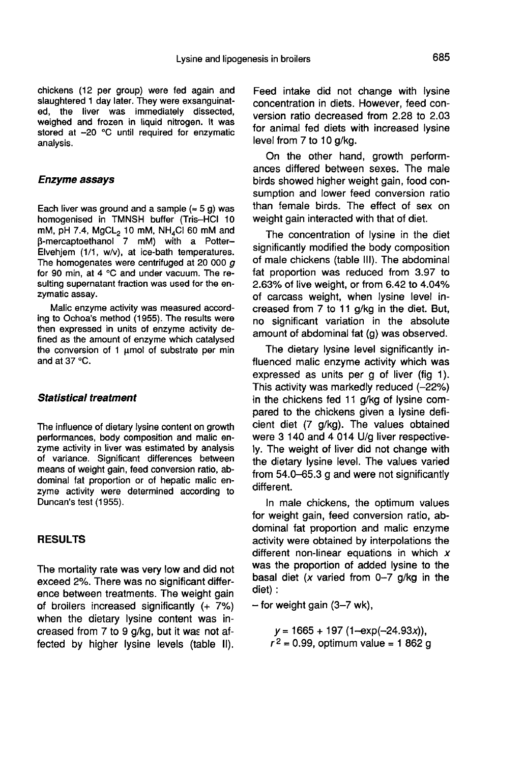chickens (12 per group) were fed again and slaughtered 1 day later. They were exsanguinated, the liver was immediately dissected, weighed and frozen in liquid nitrogen. It was stored at  $-20$  °C until required for enzymatic analysis.

# Enzyme assays

Each liver was ground and a sample  $($   $\approx$  5 g) was homogenised in TMNSH buffer (Tris-HCI 10 Each liver was ground and a sample  $( \approx 5 \text{ g})$  was<br>homogenised in TMNSH buffer (Tris-HCl 10<br>mM, pH 7.4, MgCL<sub>2</sub> 10 mM, NH<sub>4</sub>Cl 60 mM and<br>β-mercaptoethanol 7 mM) with a Potter-Elvehjem (1/1, w/v), at ice-bath temperatures. The homogenates were centrifuged at 20 000  $\sigma$ for 90 min, at 4 °C and under vacuum. The resulting supernatant fraction was used for the enzymatic assay.

Malic enzyme activity was measured according to Ochoa's method (1955). The results were then expressed in units of enzyme activity defined as the amount of enzyme which catalysed the conversion of 1  $\mu$ mol of substrate per min and at 37 °C.

#### Statistical treatment

The influence of dietary lysine content on growth performances, body composition and malic enzyme activity in liver was estimated by analysis of variance. Significant differences between means of weight gain, feed conversion ratio, abdominal fat proportion or of hepatic malic enzyme activity were determined according to Duncan's test (1955).

# RESULTS

The mortality rate was very low and did not exceed 2%. There was no significant difference between treatments. The weight gain of broilers increased significantly (+ 7%) when the dietary lysine content was increased from 7 to 9 g/kg, but it was not affected by higher lysine levels (table II). Feed intake did not change with lysine concentration in diets. However, feed conversion ratio decreased from 2.28 to 2.03 for animal fed diets with increased lysine level from 7 to 10 g/kg.

On the other hand, growth perform ances differed between sexes. The male birds showed higher weight gain, food consumption and lower feed conversion ratio than female birds. The effect of sex on weight gain interacted with that of diet.

The concentration of lysine in the diet significantly modified the body composition of male chickens (table 111). The abdominal fat proportion was reduced from 3.97 to 2.63% of live weight, or from 6.42 to 4.04% of carcass weight, when lysine level increased from 7 to 11 g/kg in the diet. But, no significant variation in the absolute amount of abdominal fat (g) was observed.

The dietary lysine level significantly influenced malic enzyme activity which was expressed as units per g of liver (fig 1). This activity was markedly reduced (-22%) in the chickens fed 11 g/kg of lysine compared to the chickens given a lysine deficient diet (7 g/kg). The values obtained were 3 140 and 4 014 U/g liver respectively. The weight of liver did not change with the dietary lysine level. The values varied from 54.0-65.3 g and were not significantly different.

In male chickens, the optimum values for weight gain, feed conversion ratio, abdominal fat proportion and malic enzyme activity were obtained by interpolations the different non-linear equations in which  $x$ was the proportion of added lysine to the basal diet (x varied from  $0-7$  g/kg in the diet) :

 $-$  for weight gain (3-7 wk),

 $y = 1665 + 197 (1 - exp(-24.93x))$ ,  $r^2$  = 0.99, optimum value = 1 862 g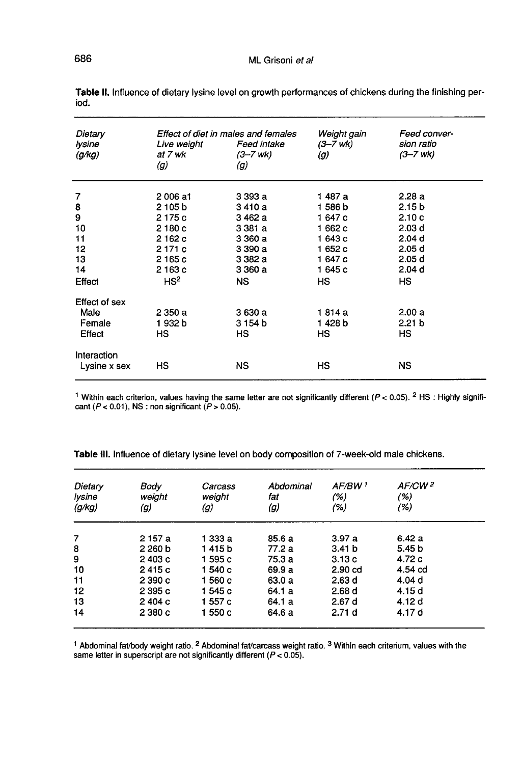| Dietary<br>lysine<br>(g/kg) | Effect of diet in males and females<br>Live weight<br>at 7 wk<br>(g) | Feed intake<br>(3–7 wk)<br>(g) | Weight gain<br>(3–7 wk)<br>(g) | Feed conver-<br>sion ratio<br>(3–7 wk) |
|-----------------------------|----------------------------------------------------------------------|--------------------------------|--------------------------------|----------------------------------------|
| 7                           | 2006 a1                                                              | 3 393 a                        | 1 487 a                        | 2.28a                                  |
|                             | 2 105 b                                                              | 3410 a                         | 1586b                          | 2.15 <sub>b</sub>                      |
| 8<br>9                      | 2175 c                                                               | 3 462 a                        | 1 647 с                        | 2.10c                                  |
| 10                          | 2180c                                                                | 3 381 a                        | 1 662 c                        | 2.03 <sub>d</sub>                      |
| 11                          | 2162c                                                                | 3 360 a                        | 1643c                          | 2.04 d                                 |
| 12                          | 2 171 c                                                              | 3 390 a                        | 1652c                          | 2.05 d                                 |
| 13                          | 2165 c                                                               | 3 382 a                        | 1647c                          | 2.05 d                                 |
| 14                          | 2163c                                                                | 3 360 a                        | 1645c                          | 2.04 d                                 |
| Effect                      | HS <sup>2</sup>                                                      | NS.                            | HS.                            | HS                                     |
| Effect of sex               |                                                                      |                                |                                |                                        |
| Male                        | 2350a                                                                | 3 630 a                        | 1814 a                         | 2.00a                                  |
| Female                      | 1932b                                                                | 3 154 b                        | 1428b                          | 2.21 <sub>b</sub>                      |
| Effect                      | НS                                                                   | нs                             | HS.                            | HS                                     |
| Interaction                 |                                                                      |                                |                                |                                        |
| Lysine x sex                | HS                                                                   | ΝS                             | нs                             | NS.                                    |

Table II. Influence of dietary lysine level on growth performances of chickens during the finishing period.

<sup>1</sup> Within each criterion, values having the same letter are not significantly different ( $P < 0.05$ ). <sup>2</sup> HS: Highly significant ( $P$  < 0.01), NS : non significant ( $P$  > 0.05).

Table III. Influence of dietary lysine level on body composition of 7-week-old male chickens.

| Dietary<br>lysine<br>(g/kg) | Body<br>weight<br>(g) | Carcass<br>weight<br>(g) | Abdominal<br>fat<br>(g) | AF/BW <sup>1</sup><br>(% )<br>(%) | AF/CW <sup>2</sup><br>(%)<br>(%) |
|-----------------------------|-----------------------|--------------------------|-------------------------|-----------------------------------|----------------------------------|
| 7                           | 2 157 a               | 1 333 a                  | 85.6a                   | 3.97a                             | 6.42a                            |
| 8                           | 2260 <sub>b</sub>     | 1415 b                   | 77.2 a                  | 3.41 <sub>b</sub>                 | 5.45 b                           |
| 9                           | 2403c                 | 1595 с                   | 75.3 a                  | 3.13c                             | 4.72c                            |
| 10                          | 2415 c                | 1540 <sub>c</sub>        | 69.9 a                  | 2.90 <sub>cd</sub>                | 4.54 cd                          |
| 11                          | 2390c                 | 1560 c                   | 63.0 a                  | 2.63d                             | 4.04 d                           |
| 12                          | 2 395 c               | 1545 с                   | 64.1 a                  | 2.68d                             | 4.15 d                           |
| 13                          | 2404c                 | 1557 c                   | 64.1 a                  | 2.67d                             | 4.12 d                           |
| 14                          | 2380c                 | 1550 с                   | 64.6 a                  | 2.71 <sub>d</sub>                 | 4.17 d                           |

<sup>1</sup> Abdominal fat/body weight ratio. <sup>2</sup> Abdominal fat/carcass weight ratio. <sup>3</sup> Within each criterium, values with the same letter in superscript are not significantly different ( $P < 0.05$ ).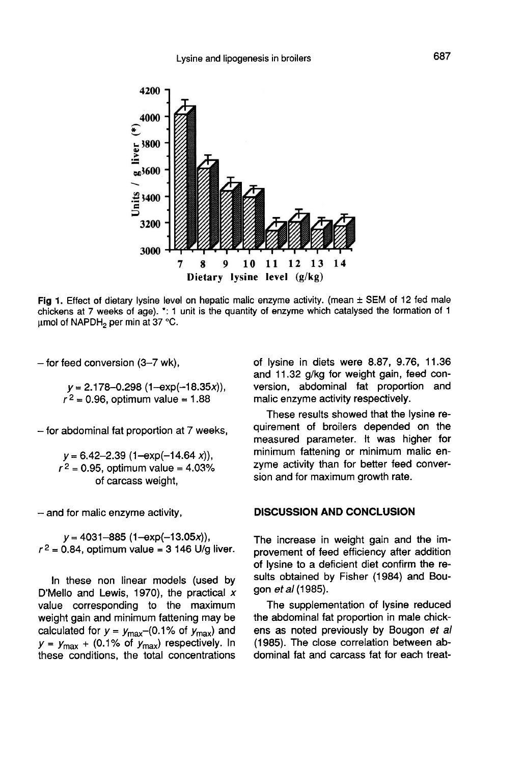

Fig 1. Effect of dietary lysine level on hepatic malic enzyme activity. (mean  $\pm$  SEM of 12 fed male chickens at 7 weeks of age). \*: 1 unit is the quantity of enzyme which catalysed the formation of 1  $\mu$ mol of NAPDH<sub>2</sub> per min at 37 °C.

 $-$  for feed conversion (3-7 wk),

 $y = 2.178 - 0.298 (1 - exp(-18.35x)),$ <br> $r^2 = 0.96$ , optimum value = 1.88

- for abdominal fat proportion at 7 weeks,

 $y = 6.42 - 2.39$  (1-exp(-14.64 x)),<br> $r<sup>2</sup> = 0.95$ , optimum value = 4.03% of carcass weight,

- and for malic enzyme activity,

 $y=4031-885$  (1-exp(-13.05x)),  $r^2 = 0.84$ , optimum value = 3 146 U/g liver.

In these non linear models (used by D'Mello and Lewis, 1970), the practical  $x$ value corresponding to the maximum weight gain and minimum fattening may be calculated for  $y = y_{\text{max}}$  -(0.1% of  $y_{\text{max}}$ ) and In these non linear models (used by D'Mello and Lewis, 1970), the practical x value corresponding to the maximum weight gain and minimum fattening may be calculated for  $y = y_{\text{max}} - (0.1\% \text{ of } y_{\text{max}})$  and  $y = y_{\text{max}} + (0.1\$ these conditions, the total concentrations

of lysine in diets were 8.87, 9.76, 11.36 and 11.32 g/kg for weight gain, feed conversion, abdominal fat proportion and malic enzyme activity respectively.

These results showed that the lysine requirement of broilers depended on the measured parameter. It was higher for minimum fattening or minimum malic enzyme activity than for better feed conversion and for maximum growth rate.

#### DISCUSSION AND CONCLUSION

The increase in weight gain and the improvement of feed efficiency after addition of lysine to a deficient diet confirm the results obtained by Fisher (1984) and Bougon ef al (1985).

The supplementation of lysine reduced the abdominal fat proportion in male chickens as noted previously by Bougon et al (1985). The close correlation between abdominal fat and carcass fat for each treat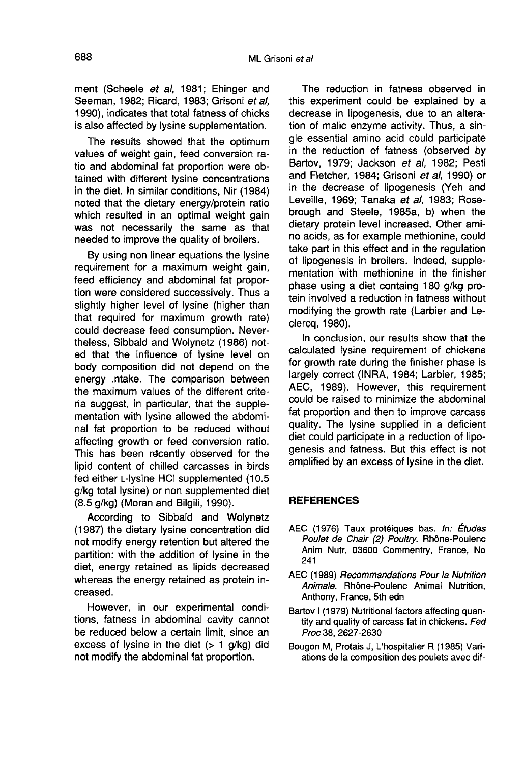ment (Scheele et al, 1981; Ehinger and Seeman, 1982; Ricard, 1983; Grisoni et al, 1990), indicates that total fatness of chicks is also affected by lysine supplementation.

The results showed that the optimum values of weight gain, feed conversion ratio and abdominal fat proportion were obtained with different lysine concentrations in the diet. In similar conditions, Nir (1984) noted that the dietary energy/protein ratio which resulted in an optimal weight gain was not necessarily the same as that needed to improve the quality of broilers.

By using non linear equations the lysine requirement for a maximum weight gain, feed efficiency and abdominal fat proportion were considered successively. Thus a slightly higher level of lysine (higher than that required for maximum growth rate) could decrease feed consumption. Nevertheless, Sibbald and Wolynetz (1986) noted that the influence of lysine level on body composition did not depend on the energy .ntake. The comparison between the maximum values of the different criteria suggest, in particular, that the supplementation with lysine allowed the abdominal fat proportion to be reduced without affecting growth or feed conversion ratio. This has been recently observed for the lipid content of chilled carcasses in birds fed either L-lysine HCI supplemented (10.5 g/kg total lysine) or non supplemented diet (8.5 g/kg) (Moran and Bilgili, 1990).

According to Sibbald and Wolynetz (1987) the dietary lysine concentration did not modify energy retention but altered the partition: with the addition of lysine in the diet, energy retained as lipids decreased whereas the energy retained as protein increased.

However, in our experimental conditions, fatness in abdominal cavity cannot be reduced below a certain limit, since an excess of lysine in the diet  $($  >  $1$  g/kg) did not modify the abdominal fat proportion.

The reduction in fatness observed in this experiment could be explained by a decrease in lipogenesis, due to an alteration of malic enzyme activity. Thus, a single essential amino acid could participate in the reduction of fatness (observed by Bartov, 1979; Jackson et al, 1982; Pesti and Fletcher, 1984; Grisoni et al, 1990) or in the decrease of lipogenesis (Yeh and Leveille, 1969; Tanaka et al, 1983; Rosebrough and Steele, 1985a, b) when the dietary protein level increased. Other amino acids, as for example methionine, could take part in this effect and in the regulation of lipogenesis in broilers. Indeed, supplementation with methionine in the finisher phase using a diet containg 180 g/kg protein involved a reduction in fatness without modifying the growth rate (Larbier and Leclercq, 1980).

In conclusion, our results show that the calculated lysine requirement of chickens for growth rate during the finisher phase is largely correct (INRA, 1984; Larbier, 1985; AEC, 1989). However, this requirement could be raised to minimize the abdominal fat proportion and then to improve carcass quality. The lysine supplied in a deficient diet could participate in a reduction of lipogenesis and fatness. But this effect is not amplified by an excess of lysine in the diet.

### **REFERENCES**

- AEC (1976) Taux protéiques bas. In: Études Poulet de Chair (2) Poultry. Rhône-Poulenc Anim Nutr, 03600 Commentry, France, No 241
- AEC (1989) Recommandations Pour la Nutrition Animale. Rh6ne-Poulenc Animal Nutrition, Anthony, France, 5th edn
- Bartov I (1979) Nutritional factors affecting quantity and quality of carcass fat in chickens. Fed Proc 38, 2627-2630
- Bougon M, Protais J, L'hospitalier R (1985) Variations de la composition des poulets avec dif-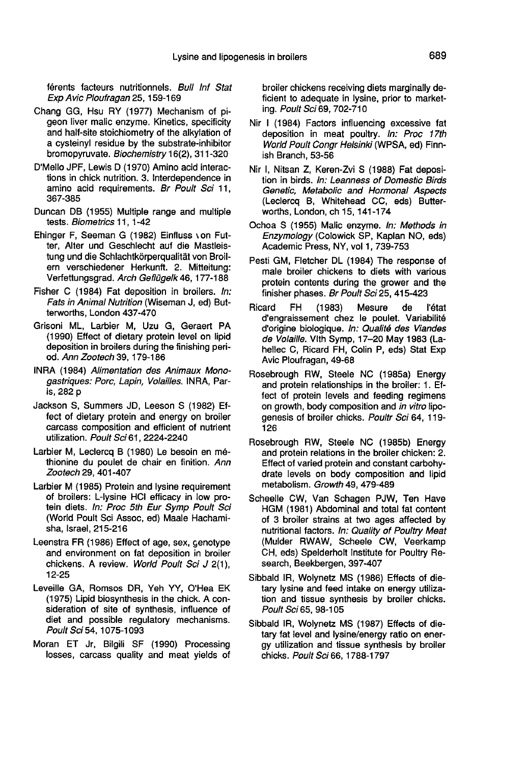férents facteurs nutritionnels. Bull Inf Stat Exp Avic Ploufragan 25, 159-169

- Chang GG, Hsu RY (1977) Mechanism of pigeon liver malic enzyme. Kinetics, specificity and half-site stoichiometry of the alkylation of a cysteinyl residue by the substrate-inhibitor bromopyruvate. Biochemistry 16(2), 311-320
- D'Mello JPF, Lewis D (1970) Amino acid interactions in chick nutrition. 3. Interdependence in amino acid requirements. Br Poult Sci 11, 367-385
- Duncan DB (1955) Multiple range and multiple tests. Biometrics 11, 1-42
- Ehinger F, Seeman G (1982) Einfluss von Futter, Alter und Geschlecht auf die Mastleistung und die Schlachtkörperqualität von Broilern verschiedener Herkunft. 2. Mitteitung: Verfettungsgrad. Arch Geflügelk 46, 177-188
- Fisher C (1984) Fat deposition in broilers. In: Fats in Animal Nutrition (Wiseman J, ed) Butterworths, London 437-470
- Grisoni ML, Larbier M, Uzu G, Geraert PA (1990) Effect of dietary protein level on lipid deposition in broilers during the finishing period. Ann Zootech 39, 179-186
- INRA (1984) Alimentation des Animaux Monogastriques: Porc, Lapin, Volailles. INRA, Paris, 282 p
- Jackson S, Summers JD, Leeson S (1982) Effect of dietary protein and energy on broiler carcass composition and efficient of nutrient utilization. Poult Sci 61, 2224-2240
- Larbier M, Leclercq B (1980) Le besoin en m6 thionine du poulet de chair en finition. Ann Zootech 29, 401-407
- Larbier M (1985) Protein and lysine requirement of broilers: L-lysine HCI efficacy in low protein diets. In: Proc 5th Eur Symp Poult Sci (World Poult Sci Assoc, ed) Maale Hachamisha, Israel, 215-216
- Leenstra FR (1986) Effect of age, sex, genotype and environment on fat deposition in broiler chickens. A review. World Poult Sci J 2(1), 12-25
- Leveille GA, Romsos DR, Yeh YY, O'Hea EK (1975) Lipid biosynthesis in the chick. A consideration of site of synthesis, influence of diet and possible regulatory mechanisms. Poult Sci 54, 1075-1093
- Moran ET Jr, Bilgili SF (1990) Processing losses, carcass quality and meat yields of

broiler chickens receiving diets marginally deficient to adequate in lysine, prior to marketing. Poult Sci 69, 702-710

- Nir 1 (1984) Factors influencing excessive fat deposition in meat poultry. In: Proc 17th World Poult Conar Helsinki (WPSA, ed) Finnish Branch, 53-56
- Nir I, Nitsan Z, Keren-Zvi S (1988) Fat deposition in birds. In: Leanness of Domestic Birds Genetic, Metabolic and Hormonal Aspects (Leclercq B, Whitehead CC, eds) Butterworths, London, ch 15, 141-174
- Ochoa S (1955) Malic enzyme. In: Methods in Enzymology (Colowick SP, Kaplan NO, eds) Academic Press, NY, vol 1, 739-753
- Pesti GM, Fletcher DL (1984) The response of male broiler chickens to diets with various protein contents during the grower and the finisher phases. Br Poult Sci 25, 415-423
- Ricard FH (1983) Mesure de 1'6tat d'engraissement chez le poulet. Variabilité d'origine biologique. In: Qualité des Viandes de Volaille. Vlth Symp, 17-20 May 1983 (Lahellec C, Ricard FH, Colin P, eds) Stat Exp Avic Ploufragan, 49-68
- Rosebrough RW, Steele NC (1985a) Energy and protein relationships in the broiler: 1. Effect of protein levels and feeding regimens on growth, body composition and in vitro lipogenesis of broiler chicks. Poultr Sci 64, 119- 126
- Rosebrough RW, Steele NC (1985b) Energy and protein relations in the broiler chicken: 2. Effect of varied protein and constant carbohydrate levels on body composition and lipid metabolism. Growth 49, 479-489
- Scheelle CW, Van Schagen PJW, Ten Have HGM (1981) Abdominal and total fat content of 3 broiler strains at two ages affected by nutritional factors. In: Quality of Poultry Meat (Mulder RWAW, Scheele CW, Veerkamp CH, eds) Spelderholt Institute for Poultry Research, Beekbergen, 397-407
- Sibbald IR, Wolynetz MS (1986) Effects of dietary lysine and feed intake on energy utilization and tissue synthesis by broiler chicks. Poult Sci 65, 98-105
- Sibbald IR, Wolynetz MS (1987) Effects of dietary fat level and lysine/energy ratio on energy utilization and tissue synthesis by broiler chicks. Poult Sci 66, 1788-1797